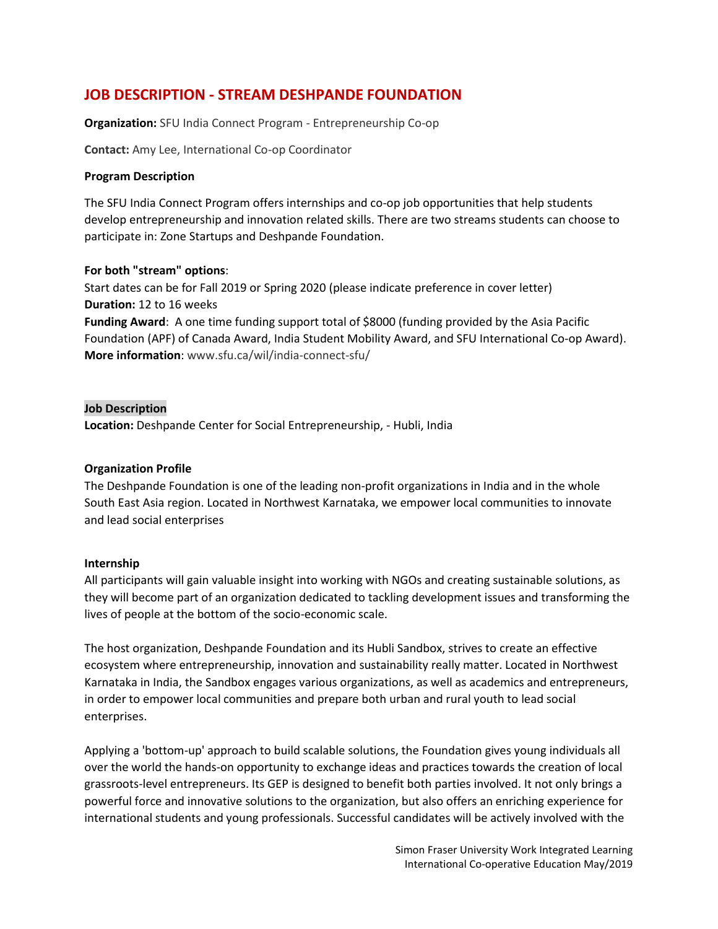# **JOB DESCRIPTION - STREAM DESHPANDE FOUNDATION**

**Organization:** SFU India Connect Program - Entrepreneurship Co-op

**Contact:** Amy Lee, International Co-op Coordinator

#### **Program Description**

The SFU India Connect Program offers internships and co-op job opportunities that help students develop entrepreneurship and innovation related skills. There are two streams students can choose to participate in: Zone Startups and Deshpande Foundation.

#### **For both "stream" options**:

Start dates can be for Fall 2019 or Spring 2020 (please indicate preference in cover letter) **Duration:** 12 to 16 weeks **Funding Award**: A one time funding support total of \$8000 (funding provided by the Asia Pacific

Foundation (APF) of Canada Award, India Student Mobility Award, and SFU International Co-op Award). **More information**: www.sfu.ca/wil/india-connect-sfu/

#### **Job Description**

**Location:** Deshpande Center for Social Entrepreneurship, - Hubli, India

#### **Organization Profile**

The Deshpande Foundation is one of the leading non-profit organizations in India and in the whole South East Asia region. Located in Northwest Karnataka, we empower local communities to innovate and lead social enterprises

#### **Internship**

All participants will gain valuable insight into working with NGOs and creating sustainable solutions, as they will become part of an organization dedicated to tackling development issues and transforming the lives of people at the bottom of the socio-economic scale.

The host organization, Deshpande Foundation and its Hubli Sandbox, strives to create an effective ecosystem where entrepreneurship, innovation and sustainability really matter. Located in Northwest Karnataka in India, the Sandbox engages various organizations, as well as academics and entrepreneurs, in order to empower local communities and prepare both urban and rural youth to lead social enterprises.

Applying a 'bottom-up' approach to build scalable solutions, the Foundation gives young individuals all over the world the hands-on opportunity to exchange ideas and practices towards the creation of local grassroots-level entrepreneurs. Its GEP is designed to benefit both parties involved. It not only brings a powerful force and innovative solutions to the organization, but also offers an enriching experience for international students and young professionals. Successful candidates will be actively involved with the